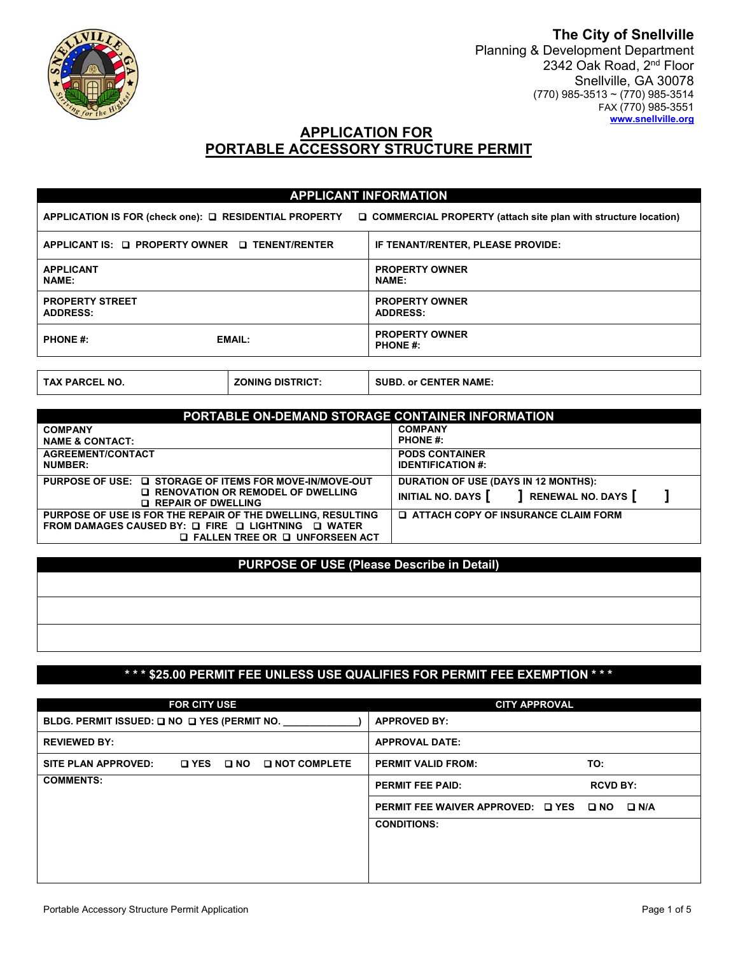

**The City of Snellville**  Planning & Development Department 2342 Oak Road, 2<sup>nd</sup> Floor Snellville, GA 30078 (770) 985-3513 ~ (770) 985-3514 FAX (770) 985-3551 **www.snellville.org** 

# **APPLICATION FOR PORTABLE ACCESSORY STRUCTURE PERMIT**

|                                                |               | <b>APPLICANT INFORMATION</b>                                                                                                      |
|------------------------------------------------|---------------|-----------------------------------------------------------------------------------------------------------------------------------|
|                                                |               | APPLICATION IS FOR (check one): $\Box$ RESIDENTIAL PROPERTY $\Box$ COMMERCIAL PROPERTY (attach site plan with structure location) |
| APPLICANT IS: Q PROPERTY OWNER Q TENENT/RENTER |               | IF TENANT/RENTER, PLEASE PROVIDE:                                                                                                 |
| <b>APPLICANT</b><br><b>NAME:</b>               |               | <b>PROPERTY OWNER</b><br><b>NAME:</b>                                                                                             |
| <b>PROPERTY STREET</b><br><b>ADDRESS:</b>      |               | <b>PROPERTY OWNER</b><br><b>ADDRESS:</b>                                                                                          |
| <b>PHONE #:</b>                                | <b>EMAIL:</b> | <b>PROPERTY OWNER</b><br><b>PHONE #:</b>                                                                                          |
|                                                |               |                                                                                                                                   |

| <b>TAX PARCEL NO.</b> | `DISTRICT.<br><b>ZONING</b> | or CENTER NAME.<br><b>SUBD</b> |
|-----------------------|-----------------------------|--------------------------------|
|                       |                             |                                |

| PORTABLE ON-DEMAND STORAGE CONTAINER INFORMATION            |                                              |  |  |  |
|-------------------------------------------------------------|----------------------------------------------|--|--|--|
| <b>COMPANY</b>                                              | <b>COMPANY</b>                               |  |  |  |
| <b>NAME &amp; CONTACT:</b>                                  | <b>PHONE #:</b>                              |  |  |  |
| <b>AGREEMENT/CONTACT</b>                                    | <b>PODS CONTAINER</b>                        |  |  |  |
| <b>NUMBER:</b>                                              | <b>IDENTIFICATION #:</b>                     |  |  |  |
| PURPOSE OF USE: □ STORAGE OF ITEMS FOR MOVE-IN/MOVE-OUT     | <b>DURATION OF USE (DAYS IN 12 MONTHS):</b>  |  |  |  |
| <b>Q RENOVATION OR REMODEL OF DWELLING</b>                  | INITIAL NO. DAYS   RENEWAL NO. DAYS          |  |  |  |
| <b>Q REPAIR OF DWELLING</b>                                 |                                              |  |  |  |
| PURPOSE OF USE IS FOR THE REPAIR OF THE DWELLING, RESULTING | <b>Q ATTACH COPY OF INSURANCE CLAIM FORM</b> |  |  |  |
| FROM DAMAGES CAUSED BY: Q FIRE Q LIGHTNING Q WATER          |                                              |  |  |  |
| $\Box$ FALLEN TREE OR $\Box$ UNFORSEEN ACT                  |                                              |  |  |  |

### **PURPOSE OF USE (Please Describe in Detail)**

### **\* \* \* \$25.00 PERMIT FEE UNLESS USE QUALIFIES FOR PERMIT FEE EXEMPTION \* \* \***

|                     | <b>FOR CITY USE</b> |                       | <b>CITY APPROVAL</b>                         |                 |
|---------------------|---------------------|-----------------------|----------------------------------------------|-----------------|
|                     |                     |                       | <b>APPROVED BY:</b>                          |                 |
| <b>REVIEWED BY:</b> |                     |                       | <b>APPROVAL DATE:</b>                        |                 |
| SITE PLAN APPROVED: | OYES ONO            | <b>Q NOT COMPLETE</b> | <b>PERMIT VALID FROM:</b>                    | TO:             |
| <b>COMMENTS:</b>    |                     |                       | <b>PERMIT FEE PAID:</b>                      | <b>RCVD BY:</b> |
|                     |                     |                       | PERMIT FEE WAIVER APPROVED: Q YES Q NO Q N/A |                 |
|                     |                     |                       | <b>CONDITIONS:</b>                           |                 |
|                     |                     |                       |                                              |                 |
|                     |                     |                       |                                              |                 |
|                     |                     |                       |                                              |                 |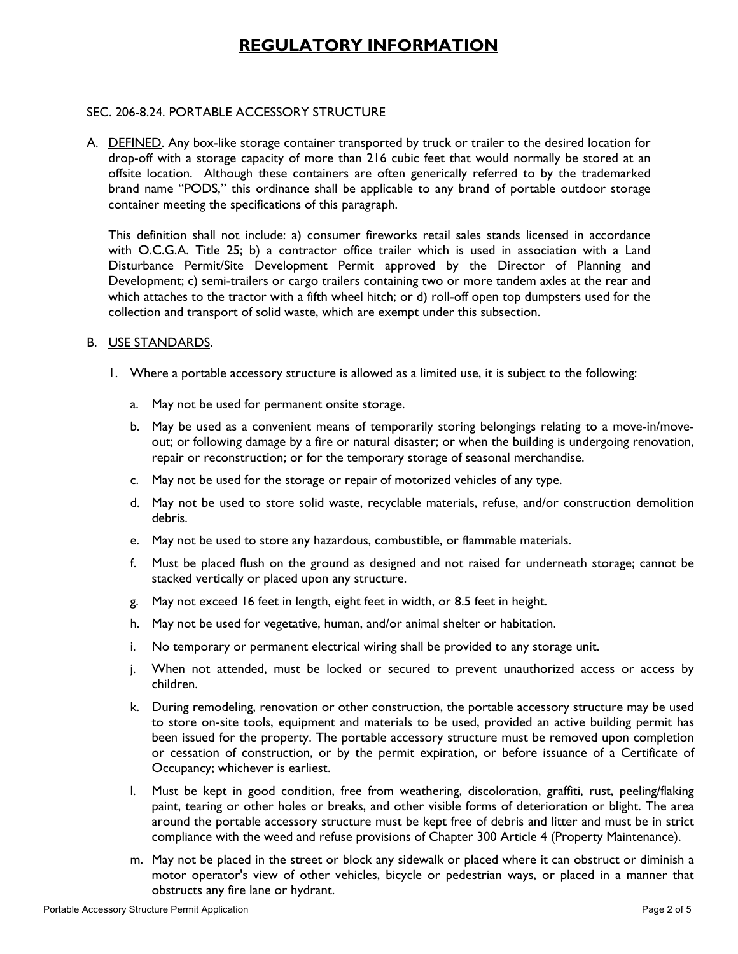# **REGULATORY INFORMATION**

## SEC. 206-8.24. PORTABLE ACCESSORY STRUCTURE

A. DEFINED. Any box-like storage container transported by truck or trailer to the desired location for drop-off with a storage capacity of more than 216 cubic feet that would normally be stored at an offsite location. Although these containers are often generically referred to by the trademarked brand name "PODS," this ordinance shall be applicable to any brand of portable outdoor storage container meeting the specifications of this paragraph.

This definition shall not include: a) consumer fireworks retail sales stands licensed in accordance with O.C.G.A. Title 25; b) a contractor office trailer which is used in association with a Land Disturbance Permit/Site Development Permit approved by the Director of Planning and Development; c) semi-trailers or cargo trailers containing two or more tandem axles at the rear and which attaches to the tractor with a fifth wheel hitch; or d) roll-off open top dumpsters used for the collection and transport of solid waste, which are exempt under this subsection.

### B. USE STANDARDS.

- 1. Where a portable accessory structure is allowed as a limited use, it is subject to the following:
	- a. May not be used for permanent onsite storage.
	- b. May be used as a convenient means of temporarily storing belongings relating to a move-in/moveout; or following damage by a fire or natural disaster; or when the building is undergoing renovation, repair or reconstruction; or for the temporary storage of seasonal merchandise.
	- c. May not be used for the storage or repair of motorized vehicles of any type.
	- d. May not be used to store solid waste, recyclable materials, refuse, and/or construction demolition debris.
	- e. May not be used to store any hazardous, combustible, or flammable materials.
	- f. Must be placed flush on the ground as designed and not raised for underneath storage; cannot be stacked vertically or placed upon any structure.
	- g. May not exceed 16 feet in length, eight feet in width, or 8.5 feet in height.
	- h. May not be used for vegetative, human, and/or animal shelter or habitation.
	- i. No temporary or permanent electrical wiring shall be provided to any storage unit.
	- j. When not attended, must be locked or secured to prevent unauthorized access or access by children.
	- k. During remodeling, renovation or other construction, the portable accessory structure may be used to store on-site tools, equipment and materials to be used, provided an active building permit has been issued for the property. The portable accessory structure must be removed upon completion or cessation of construction, or by the permit expiration, or before issuance of a Certificate of Occupancy; whichever is earliest.
	- l. Must be kept in good condition, free from weathering, discoloration, graffiti, rust, peeling/flaking paint, tearing or other holes or breaks, and other visible forms of deterioration or blight. The area around the portable accessory structure must be kept free of debris and litter and must be in strict compliance with the weed and refuse provisions of Chapter 300 Article 4 (Property Maintenance).
	- m. May not be placed in the street or block any sidewalk or placed where it can obstruct or diminish a motor operator's view of other vehicles, bicycle or pedestrian ways, or placed in a manner that obstructs any fire lane or hydrant.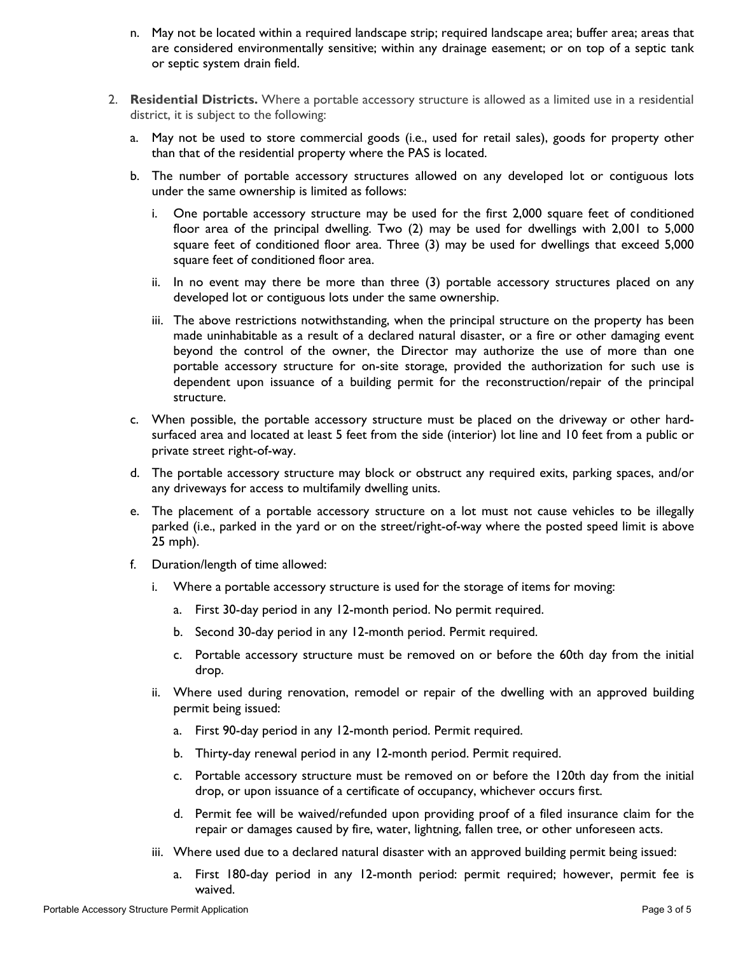- n. May not be located within a required landscape strip; required landscape area; buffer area; areas that are considered environmentally sensitive; within any drainage easement; or on top of a septic tank or septic system drain field.
- 2. **Residential Districts.** Where a portable accessory structure is allowed as a limited use in a residential district, it is subject to the following:
	- a. May not be used to store commercial goods (i.e., used for retail sales), goods for property other than that of the residential property where the PAS is located.
	- b. The number of portable accessory structures allowed on any developed lot or contiguous lots under the same ownership is limited as follows:
		- i. One portable accessory structure may be used for the first 2,000 square feet of conditioned floor area of the principal dwelling. Two (2) may be used for dwellings with 2,001 to 5,000 square feet of conditioned floor area. Three (3) may be used for dwellings that exceed 5,000 square feet of conditioned floor area.
		- ii. In no event may there be more than three (3) portable accessory structures placed on any developed lot or contiguous lots under the same ownership.
		- iii. The above restrictions notwithstanding, when the principal structure on the property has been made uninhabitable as a result of a declared natural disaster, or a fire or other damaging event beyond the control of the owner, the Director may authorize the use of more than one portable accessory structure for on-site storage, provided the authorization for such use is dependent upon issuance of a building permit for the reconstruction/repair of the principal structure.
	- c. When possible, the portable accessory structure must be placed on the driveway or other hardsurfaced area and located at least 5 feet from the side (interior) lot line and 10 feet from a public or private street right-of-way.
	- d. The portable accessory structure may block or obstruct any required exits, parking spaces, and/or any driveways for access to multifamily dwelling units.
	- e. The placement of a portable accessory structure on a lot must not cause vehicles to be illegally parked (i.e., parked in the yard or on the street/right-of-way where the posted speed limit is above 25 mph).
	- f. Duration/length of time allowed:
		- i. Where a portable accessory structure is used for the storage of items for moving:
			- a. First 30-day period in any 12-month period. No permit required.
			- b. Second 30-day period in any 12-month period. Permit required.
			- c. Portable accessory structure must be removed on or before the 60th day from the initial drop.
		- ii. Where used during renovation, remodel or repair of the dwelling with an approved building permit being issued:
			- a. First 90-day period in any 12-month period. Permit required.
			- b. Thirty-day renewal period in any 12-month period. Permit required.
			- c. Portable accessory structure must be removed on or before the 120th day from the initial drop, or upon issuance of a certificate of occupancy, whichever occurs first.
			- d. Permit fee will be waived/refunded upon providing proof of a filed insurance claim for the repair or damages caused by fire, water, lightning, fallen tree, or other unforeseen acts.
		- iii. Where used due to a declared natural disaster with an approved building permit being issued:
			- a. First 180-day period in any 12-month period: permit required; however, permit fee is waived.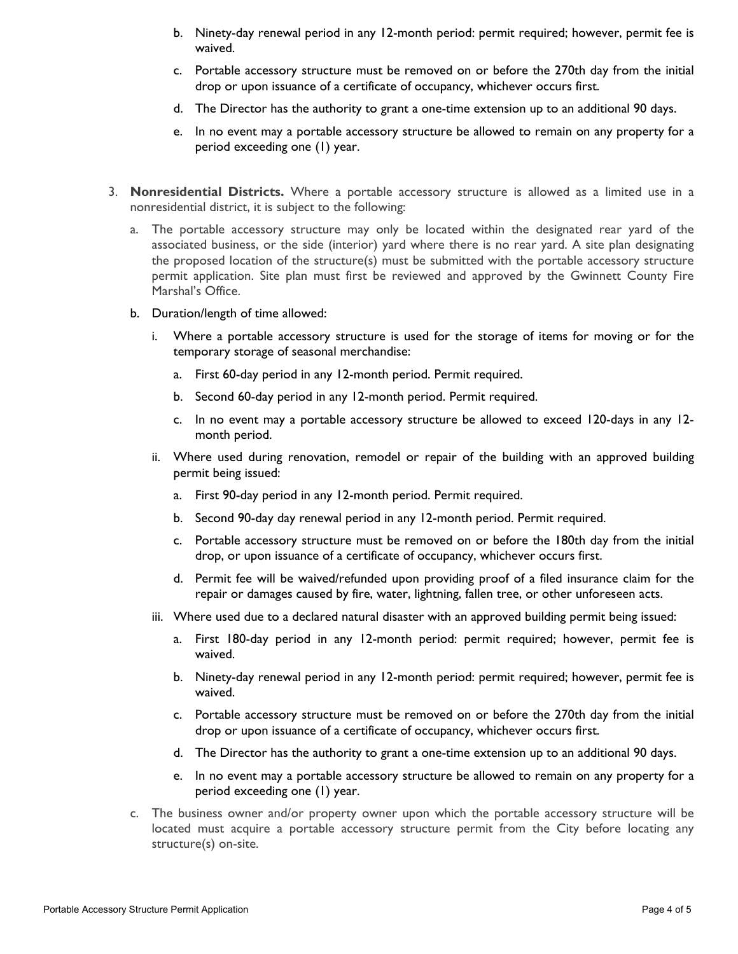- b. Ninety-day renewal period in any 12-month period: permit required; however, permit fee is waived.
- c. Portable accessory structure must be removed on or before the 270th day from the initial drop or upon issuance of a certificate of occupancy, whichever occurs first.
- d. The Director has the authority to grant a one-time extension up to an additional 90 days.
- e. In no event may a portable accessory structure be allowed to remain on any property for a period exceeding one (1) year.
- 3. **Nonresidential Districts.** Where a portable accessory structure is allowed as a limited use in a nonresidential district, it is subject to the following:
	- a. The portable accessory structure may only be located within the designated rear yard of the associated business, or the side (interior) yard where there is no rear yard. A site plan designating the proposed location of the structure(s) must be submitted with the portable accessory structure permit application. Site plan must first be reviewed and approved by the Gwinnett County Fire Marshal's Office.
	- b. Duration/length of time allowed:
		- i. Where a portable accessory structure is used for the storage of items for moving or for the temporary storage of seasonal merchandise:
			- a. First 60-day period in any 12-month period. Permit required.
			- b. Second 60-day period in any 12-month period. Permit required.
			- c. In no event may a portable accessory structure be allowed to exceed 120-days in any 12 month period.
		- ii. Where used during renovation, remodel or repair of the building with an approved building permit being issued:
			- a. First 90-day period in any 12-month period. Permit required.
			- b. Second 90-day day renewal period in any 12-month period. Permit required.
			- c. Portable accessory structure must be removed on or before the 180th day from the initial drop, or upon issuance of a certificate of occupancy, whichever occurs first.
			- d. Permit fee will be waived/refunded upon providing proof of a filed insurance claim for the repair or damages caused by fire, water, lightning, fallen tree, or other unforeseen acts.
		- iii. Where used due to a declared natural disaster with an approved building permit being issued:
			- a. First 180-day period in any 12-month period: permit required; however, permit fee is waived.
			- b. Ninety-day renewal period in any 12-month period: permit required; however, permit fee is waived.
			- c. Portable accessory structure must be removed on or before the 270th day from the initial drop or upon issuance of a certificate of occupancy, whichever occurs first.
			- d. The Director has the authority to grant a one-time extension up to an additional 90 days.
			- e. In no event may a portable accessory structure be allowed to remain on any property for a period exceeding one (1) year.
	- c. The business owner and/or property owner upon which the portable accessory structure will be located must acquire a portable accessory structure permit from the City before locating any structure(s) on-site.